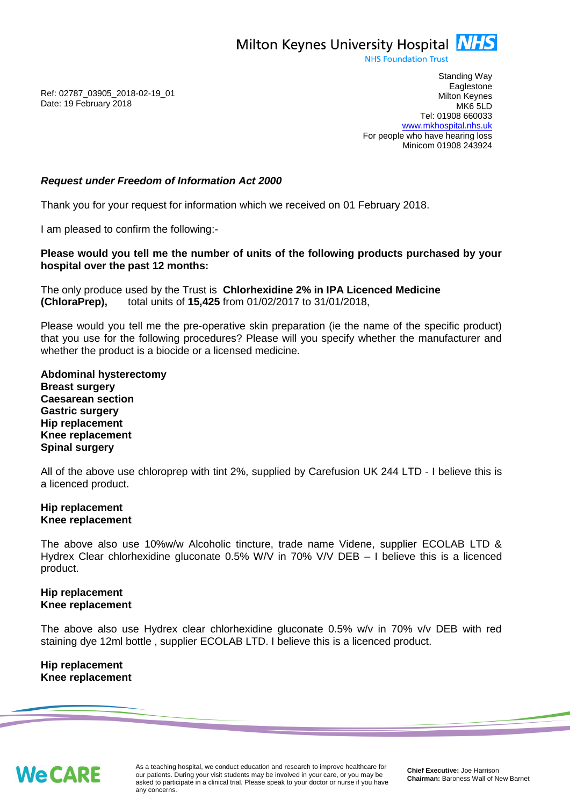Milton Keynes University Hospital **NHS** 

**NHS Foundation Trust** 

Ref: 02787\_03905\_2018-02-19\_01 Date: 19 February 2018

Standing Way **Eaglestone** Milton Keynes MK6 5LD Tel: 01908 660033 [www.mkhospital.nhs.uk](http://www.mkhospital.nhs.uk/) For people who have hearing loss Minicom 01908 243924

## *Request under Freedom of Information Act 2000*

Thank you for your request for information which we received on 01 February 2018.

I am pleased to confirm the following:-

**Please would you tell me the number of units of the following products purchased by your hospital over the past 12 months:**

The only produce used by the Trust is **Chlorhexidine 2% in IPA Licenced Medicine (ChloraPrep),** total units of **15,425** from 01/02/2017 to 31/01/2018,

Please would you tell me the pre-operative skin preparation (ie the name of the specific product) that you use for the following procedures? Please will you specify whether the manufacturer and whether the product is a biocide or a licensed medicine.

**Abdominal hysterectomy Breast surgery Caesarean section Gastric surgery Hip replacement Knee replacement Spinal surgery** 

All of the above use chloroprep with tint 2%, supplied by Carefusion UK 244 LTD - I believe this is a licenced product.

## **Hip replacement Knee replacement**

The above also use 10%w/w Alcoholic tincture, trade name Videne, supplier ECOLAB LTD & Hydrex Clear chlorhexidine gluconate 0.5% W/V in 70% V/V DEB – I believe this is a licenced product.

## **Hip replacement Knee replacement**

The above also use Hydrex clear chlorhexidine gluconate 0.5% w/v in 70% v/v DEB with red staining dye 12ml bottle , supplier ECOLAB LTD. I believe this is a licenced product.

**Hip replacement Knee replacement**